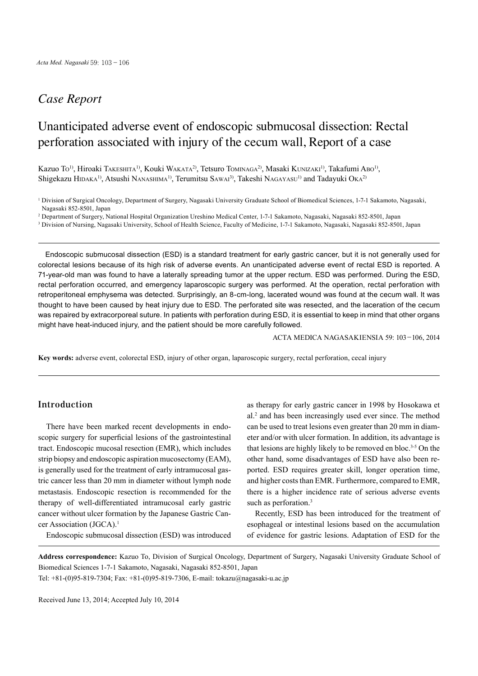## *Case Report*

# Unanticipated adverse event of endoscopic submucosal dissection: Rectal perforation associated with injury of the cecum wall, Report of a case

Kazuo To<sup>1)</sup>, Hiroaki Takeshita<sup>1)</sup>, Kouki Wakata<sup>2</sup>, Tetsuro Tominaga<sup>2</sup>, Masaki Kunizaki<sup>1)</sup>, Takafumi Abo<sup>1)</sup>, Shigekazu HIDAKA<sup>1)</sup>, Atsushi NANASHIMA<sup>1)</sup>, Terumitsu SAWAI<sup>3</sup>), Takeshi NAGAYASU<sup>1)</sup> and Tadayuki OKA<sup>2)</sup>

2 Department of Surgery, National Hospital Organization Ureshino Medical Center, 1-7-1 Sakamoto, Nagasaki, Nagasaki 852-8501, Japan

<sup>3</sup> Division of Nursing, Nagasaki University, School of Health Science, Faculty of Medicine, 1-7-1 Sakamoto, Nagasaki, Nagasaki 852-8501, Japan

Endoscopic submucosal dissection (ESD) is a standard treatment for early gastric cancer, but it is not generally used for colorectal lesions because of its high risk of adverse events. An unanticipated adverse event of rectal ESD is reported. A 71-year-old man was found to have a laterally spreading tumor at the upper rectum. ESD was performed. During the ESD, rectal perforation occurred, and emergency laparoscopic surgery was performed. At the operation, rectal perforation with retroperitoneal emphysema was detected. Surprisingly, an 8-cm-long, lacerated wound was found at the cecum wall. It was thought to have been caused by heat injury due to ESD. The perforated site was resected, and the laceration of the cecum was repaired by extracorporeal suture. In patients with perforation during ESD, it is essential to keep in mind that other organs might have heat-induced injury, and the patient should be more carefully followed.

ACTA MEDICA NAGASAKIENSIA 59: 103−106, 2014

**Key words:** adverse event, colorectal ESD, injury of other organ, laparoscopic surgery, rectal perforation, cecal injury

### **Introduction**

There have been marked recent developments in endoscopic surgery for superficial lesions of the gastrointestinal tract. Endoscopic mucosal resection (EMR), which includes strip biopsy and endoscopic aspiration mucosectomy (EAM), is generally used for the treatment of early intramucosal gastric cancer less than 20 mm in diameter without lymph node metastasis. Endoscopic resection is recommended for the therapy of well-differentiated intramucosal early gastric cancer without ulcer formation by the Japanese Gastric Cancer Association (JGCA). 1

Endoscopic submucosal dissection (ESD) was introduced

as therapy for early gastric cancer in 1998 by Hosokawa et al. <sup>2</sup> and has been increasingly used ever since. The method can be used to treat lesions even greater than 20 mm in diameter and/or with ulcer formation. In addition, its advantage is that lesions are highly likely to be removed en bloc. 3-5 On the other hand, some disadvantages of ESD have also been reported. ESD requires greater skill, longer operation time, and higher costs than EMR. Furthermore, compared to EMR, there is a higher incidence rate of serious adverse events such as perforation.<sup>3</sup>

Recently, ESD has been introduced for the treatment of esophageal or intestinal lesions based on the accumulation of evidence for gastric lesions. Adaptation of ESD for the

**Address correspondence:** Kazuo To, Division of Surgical Oncology, Department of Surgery, Nagasaki University Graduate School of Biomedical Sciences 1-7-1 Sakamoto, Nagasaki, Nagasaki 852-8501, Japan

Tel: +81-(0)95-819-7304; Fax: +81-(0)95-819-7306, E-mail: tokazu@nagasaki-u.ac.jp

Received June 13, 2014; Accepted July 10, 2014

<sup>&</sup>lt;sup>1</sup> Division of Surgical Oncology, Department of Surgery, Nagasaki University Graduate School of Biomedical Sciences, 1-7-1 Sakamoto, Nagasaki, Nagasaki 852-8501, Japan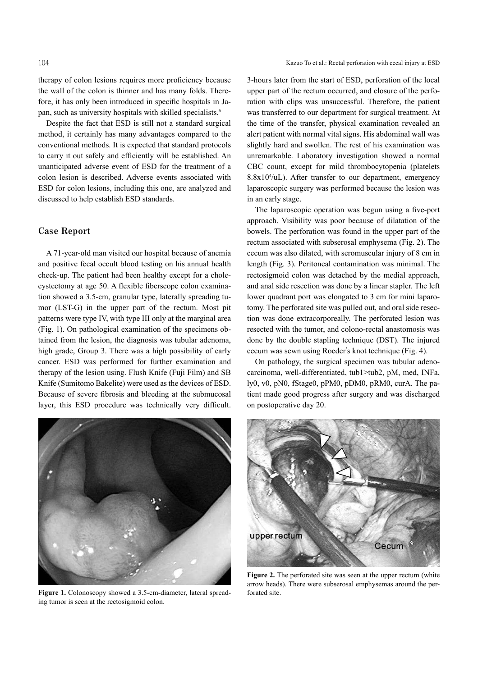therapy of colon lesions requires more proficiency because the wall of the colon is thinner and has many folds. Therefore, it has only been introduced in specific hospitals in Japan, such as university hospitals with skilled specialists. 6

Despite the fact that ESD is still not a standard surgical method, it certainly has many advantages compared to the conventional methods. It is expected that standard protocols to carry it out safely and efficiently will be established. An unanticipated adverse event of ESD for the treatment of a colon lesion is described. Adverse events associated with ESD for colon lesions, including this one, are analyzed and discussed to help establish ESD standards.

#### **Case Report**

A 71-year-old man visited our hospital because of anemia and positive fecal occult blood testing on his annual health check-up. The patient had been healthy except for a cholecystectomy at age 50. A flexible fiberscope colon examination showed a 3.5-cm, granular type, laterally spreading tumor (LST-G) in the upper part of the rectum. Most pit patterns were type IV, with type III only at the marginal area (Fig. 1). On pathological examination of the specimens obtained from the lesion, the diagnosis was tubular adenoma, high grade, Group 3. There was a high possibility of early cancer. ESD was performed for further examination and therapy of the lesion using. Flush Knife (Fuji Film) and SB Knife (Sumitomo Bakelite) were used as the devices of ESD. Because of severe fibrosis and bleeding at the submucosal layer, this ESD procedure was technically very difficult.



**Figure 1.** Colonoscopy showed a 3.5-cm-diameter, lateral spreading tumor is seen at the rectosigmoid colon.

3-hours later from the start of ESD, perforation of the local upper part of the rectum occurred, and closure of the perforation with clips was unsuccessful. Therefore, the patient was transferred to our department for surgical treatment. At the time of the transfer, physical examination revealed an alert patient with normal vital signs. His abdominal wall was slightly hard and swollen. The rest of his examination was unremarkable. Laboratory investigation showed a normal CBC count, except for mild thrombocytopenia (platelets 8.8x104 /uL). After transfer to our department, emergency laparoscopic surgery was performed because the lesion was in an early stage.

The laparoscopic operation was begun using a five-port approach. Visibility was poor because of dilatation of the bowels. The perforation was found in the upper part of the rectum associated with subserosal emphysema (Fig. 2). The cecum was also dilated, with seromuscular injury of 8 cm in length (Fig. 3). Peritoneal contamination was minimal. The rectosigmoid colon was detached by the medial approach, and anal side resection was done by a linear stapler. The left lower quadrant port was elongated to 3 cm for mini laparotomy. The perforated site was pulled out, and oral side resection was done extracorporeally. The perforated lesion was resected with the tumor, and colono-rectal anastomosis was done by the double stapling technique (DST). The injured cecum was sewn using Roeder's knot technique (Fig. 4).

On pathology, the surgical specimen was tubular adenocarcinoma, well-differentiated, tub1>tub2, pM, med, INFa, ly0, v0, pN0, fStage0, pPM0, pDM0, pRM0, curA. The patient made good progress after surgery and was discharged on postoperative day 20.



**Figure 2.** The perforated site was seen at the upper rectum (white arrow heads). There were subserosal emphysemas around the perforated site.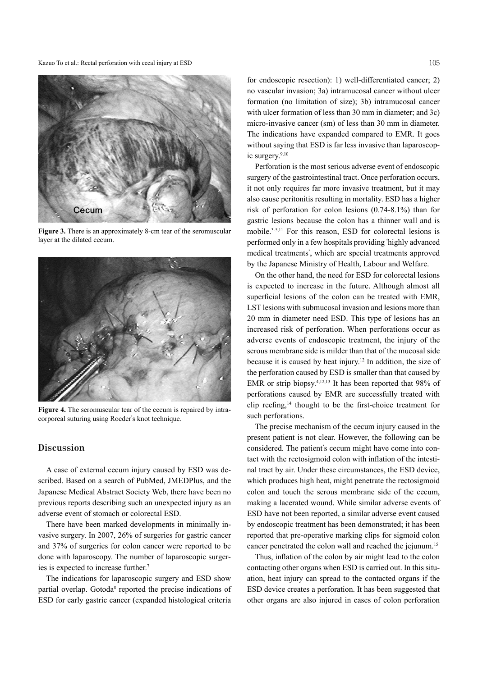Kazuo To et al.: Rectal perforation with cecal injury at ESD 105



**Figure 3.** There is an approximately 8-cm tear of the seromuscular layer at the dilated cecum.



**Figure 4.** The seromuscular tear of the cecum is repaired by intracorporeal suturing using Roeder's knot technique.

#### **Discussion**

A case of external cecum injury caused by ESD was described. Based on a search of PubMed, JMEDPlus, and the Japanese Medical Abstract Society Web, there have been no previous reports describing such an unexpected injury as an adverse event of stomach or colorectal ESD.

There have been marked developments in minimally invasive surgery. In 2007, 26% of surgeries for gastric cancer and 37% of surgeries for colon cancer were reported to be done with laparoscopy. The number of laparoscopic surgeries is expected to increase further. 7

The indications for laparoscopic surgery and ESD show partial overlap. Gotoda<sup>8</sup> reported the precise indications of ESD for early gastric cancer (expanded histological criteria

for endoscopic resection): 1) well-differentiated cancer; 2) no vascular invasion; 3a) intramucosal cancer without ulcer formation (no limitation of size); 3b) intramucosal cancer with ulcer formation of less than 30 mm in diameter; and 3c) micro-invasive cancer (sm) of less than 30 mm in diameter. The indications have expanded compared to EMR. It goes without saying that ESD is far less invasive than laparoscopic surgery. 9,10

Perforation is the most serious adverse event of endoscopic surgery of the gastrointestinal tract. Once perforation occurs, it not only requires far more invasive treatment, but it may also cause peritonitis resulting in mortality. ESD has a higher risk of perforation for colon lesions (0.74-8.1%) than for gastric lesions because the colon has a thinner wall and is mobile. 3-5,11 For this reason, ESD for colorectal lesions is performed only in a few hospitals providing ʻhighly advanced medical treatments', which are special treatments approved by the Japanese Ministry of Health, Labour and Welfare.

On the other hand, the need for ESD for colorectal lesions is expected to increase in the future. Although almost all superficial lesions of the colon can be treated with EMR, LST lesions with submucosal invasion and lesions more than 20 mm in diameter need ESD. This type of lesions has an increased risk of perforation. When perforations occur as adverse events of endoscopic treatment, the injury of the serous membrane side is milder than that of the mucosal side because it is caused by heat injury. <sup>12</sup> In addition, the size of the perforation caused by ESD is smaller than that caused by EMR or strip biopsy.<sup>4,12,13</sup> It has been reported that 98% of perforations caused by EMR are successfully treated with clip reefing, <sup>14</sup> thought to be the first-choice treatment for such perforations.

The precise mechanism of the cecum injury caused in the present patient is not clear. However, the following can be considered. The patient's cecum might have come into contact with the rectosigmoid colon with inflation of the intestinal tract by air. Under these circumstances, the ESD device, which produces high heat, might penetrate the rectosigmoid colon and touch the serous membrane side of the cecum, making a lacerated wound. While similar adverse events of ESD have not been reported, a similar adverse event caused by endoscopic treatment has been demonstrated; it has been reported that pre-operative marking clips for sigmoid colon cancer penetrated the colon wall and reached the jejunum. 15

Thus, inflation of the colon by air might lead to the colon contacting other organs when ESD is carried out. In this situation, heat injury can spread to the contacted organs if the ESD device creates a perforation. It has been suggested that other organs are also injured in cases of colon perforation